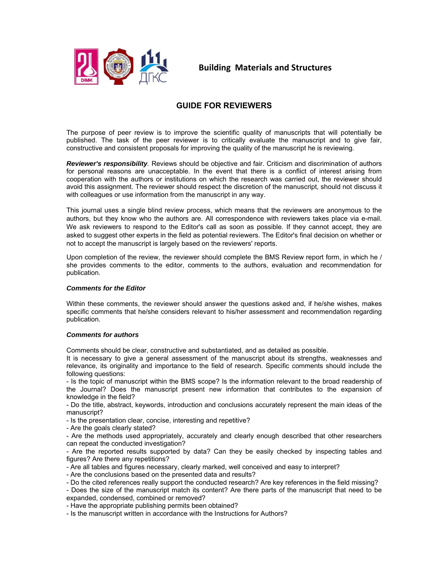

**Building Materials and Structures** 

## **GUIDE FOR REVIEWERS**

The purpose of peer review is to improve the scientific quality of manuscripts that will potentially be published. The task of the peer reviewer is to critically evaluate the manuscript and to give fair, constructive and consistent proposals for improving the quality of the manuscript he is reviewing.

*Reviewer's responsibility.* Reviews should be objective and fair. Criticism and discrimination of authors for personal reasons are unacceptable. In the event that there is a conflict of interest arising from cooperation with the authors or institutions on which the research was carried out, the reviewer should avoid this assignment. The reviewer should respect the discretion of the manuscript, should not discuss it with colleagues or use information from the manuscript in any way.

This journal uses a single blind review process, which means that the reviewers are anonymous to the authors, but they know who the authors are. All correspondence with reviewers takes place via e-mail. We ask reviewers to respond to the Editor's call as soon as possible. If they cannot accept, they are asked to suggest other experts in the field as potential reviewers. The Editor's final decision on whether or not to accept the manuscript is largely based on the reviewers' reports.

Upon completion of the review, the reviewer should complete the BMS Review report form, in which he / she provides comments to the editor, comments to the authors, evaluation and recommendation for publication.

## *Comments for the Editor*

Within these comments, the reviewer should answer the questions asked and, if he/she wishes, makes specific comments that he/she considers relevant to his/her assessment and recommendation regarding publication.

## *Comments for authors*

Comments should be clear, constructive and substantiated, and as detailed as possible.

It is necessary to give a general assessment of the manuscript about its strengths, weaknesses and relevance, its originality and importance to the field of research. Specific comments should include the following questions:

- Is the topic of manuscript within the BMS scope? Is the information relevant to the broad readership of the Journal? Does the manuscript present new information that contributes to the expansion of knowledge in the field?

- Do the title, abstract, keywords, introduction and conclusions accurately represent the main ideas of the manuscript?

- Is the presentation clear, concise, interesting and repetitive?

- Are the goals clearly stated?

- Are the methods used appropriately, accurately and clearly enough described that other researchers can repeat the conducted investigation?

- Are the reported results supported by data? Can they be easily checked by inspecting tables and figures? Are there any repetitions?

- Are all tables and figures necessary, clearly marked, well conceived and easy to interpret?

- Are the conclusions based on the presented data and results?

- Do the cited references really support the conducted research? Are key references in the field missing?

- Does the size of the manuscript match its content? Are there parts of the manuscript that need to be expanded, condensed, combined or removed?

- Have the appropriate publishing permits been obtained?

- Is the manuscript written in accordance with the Instructions for Authors?